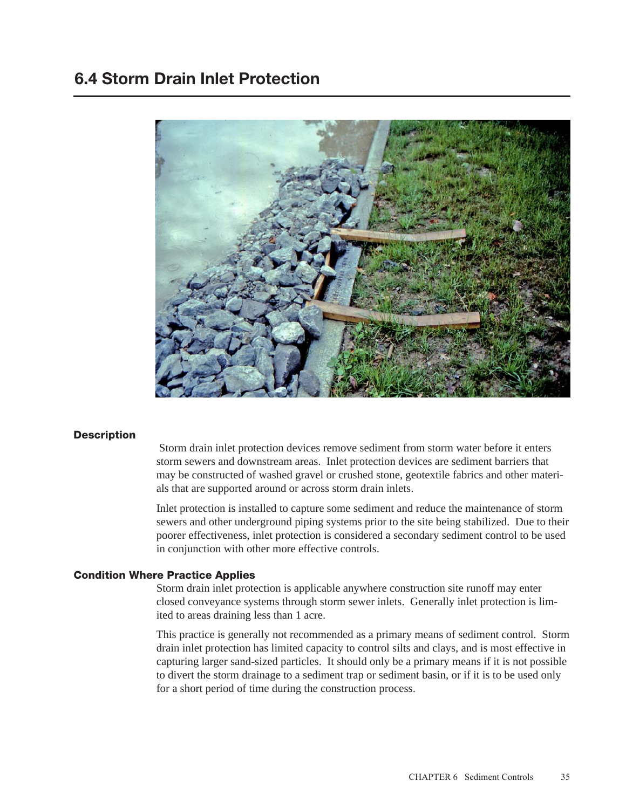## 6.4 Storm Drain Inlet Protection



### **Description**

 Storm drain inlet protection devices remove sediment from storm water before it enters storm sewers and downstream areas. Inlet protection devices are sediment barriers that may be constructed of washed gravel or crushed stone, geotextile fabrics and other materials that are supported around or across storm drain inlets.

Inlet protection is installed to capture some sediment and reduce the maintenance of storm sewers and other underground piping systems prior to the site being stabilized. Due to their poorer effectiveness, inlet protection is considered a secondary sediment control to be used in conjunction with other more effective controls.

#### Condition Where Practice Applies

Storm drain inlet protection is applicable anywhere construction site runoff may enter closed conveyance systems through storm sewer inlets. Generally inlet protection is limited to areas draining less than 1 acre.

This practice is generally not recommended as a primary means of sediment control. Storm drain inlet protection has limited capacity to control silts and clays, and is most effective in capturing larger sand-sized particles. It should only be a primary means if it is not possible to divert the storm drainage to a sediment trap or sediment basin, or if it is to be used only for a short period of time during the construction process.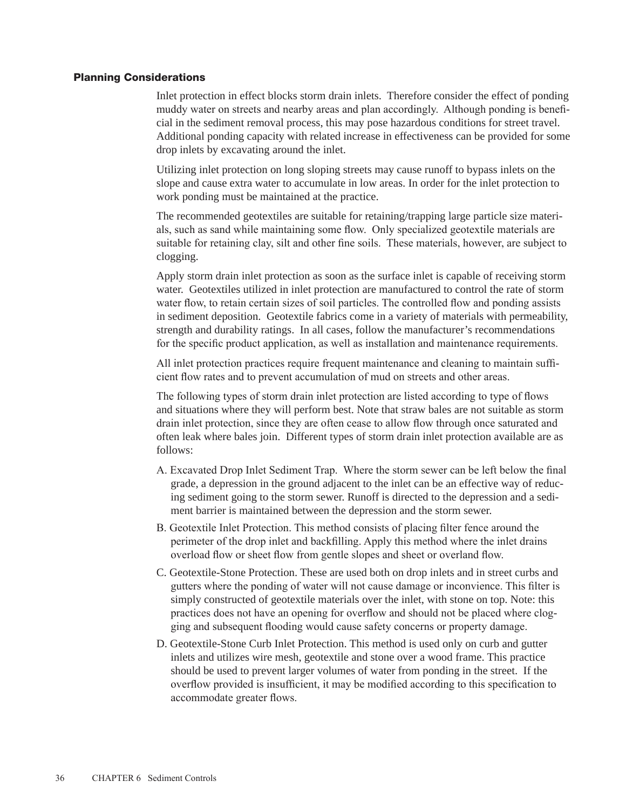#### Planning Considerations

Inlet protection in effect blocks storm drain inlets. Therefore consider the effect of ponding muddy water on streets and nearby areas and plan accordingly. Although ponding is beneficial in the sediment removal process, this may pose hazardous conditions for street travel. Additional ponding capacity with related increase in effectiveness can be provided for some drop inlets by excavating around the inlet.

Utilizing inlet protection on long sloping streets may cause runoff to bypass inlets on the slope and cause extra water to accumulate in low areas. In order for the inlet protection to work ponding must be maintained at the practice.

The recommended geotextiles are suitable for retaining/trapping large particle size materials, such as sand while maintaining some flow. Only specialized geotextile materials are suitable for retaining clay, silt and other fine soils. These materials, however, are subject to clogging.

Apply storm drain inlet protection as soon as the surface inlet is capable of receiving storm water. Geotextiles utilized in inlet protection are manufactured to control the rate of storm water flow, to retain certain sizes of soil particles. The controlled flow and ponding assists in sediment deposition. Geotextile fabrics come in a variety of materials with permeability, strength and durability ratings. In all cases, follow the manufacturer's recommendations for the specific product application, as well as installation and maintenance requirements.

All inlet protection practices require frequent maintenance and cleaning to maintain sufficient flow rates and to prevent accumulation of mud on streets and other areas.

The following types of storm drain inlet protection are listed according to type of flows and situations where they will perform best. Note that straw bales are not suitable as storm drain inlet protection, since they are often cease to allow flow through once saturated and often leak where bales join. Different types of storm drain inlet protection available are as follows:

- A. Excavated Drop Inlet Sediment Trap. Where the storm sewer can be left below the final grade, a depression in the ground adjacent to the inlet can be an effective way of reducing sediment going to the storm sewer. Runoff is directed to the depression and a sediment barrier is maintained between the depression and the storm sewer.
- B. Geotextile Inlet Protection. This method consists of placing filter fence around the perimeter of the drop inlet and backfilling. Apply this method where the inlet drains overload flow or sheet flow from gentle slopes and sheet or overland flow.
- C. Geotextile-Stone Protection. These are used both on drop inlets and in street curbs and gutters where the ponding of water will not cause damage or inconvience. This filter is simply constructed of geotextile materials over the inlet, with stone on top. Note: this practices does not have an opening for overflow and should not be placed where clogging and subsequent flooding would cause safety concerns or property damage.
- D. Geotextile-Stone Curb Inlet Protection. This method is used only on curb and gutter inlets and utilizes wire mesh, geotextile and stone over a wood frame. This practice should be used to prevent larger volumes of water from ponding in the street. If the overflow provided is insufficient, it may be modified according to this specification to accommodate greater flows.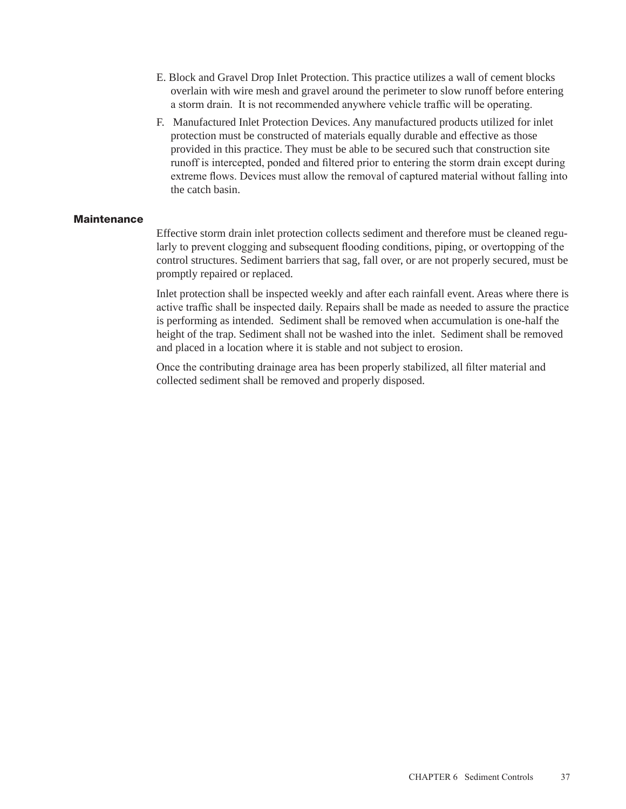- E. Block and Gravel Drop Inlet Protection. This practice utilizes a wall of cement blocks overlain with wire mesh and gravel around the perimeter to slow runoff before entering a storm drain. It is not recommended anywhere vehicle traffic will be operating.
- F. Manufactured Inlet Protection Devices. Any manufactured products utilized for inlet protection must be constructed of materials equally durable and effective as those provided in this practice. They must be able to be secured such that construction site runoff is intercepted, ponded and filtered prior to entering the storm drain except during extreme flows. Devices must allow the removal of captured material without falling into the catch basin.

### **Maintenance**

Effective storm drain inlet protection collects sediment and therefore must be cleaned regularly to prevent clogging and subsequent flooding conditions, piping, or overtopping of the control structures. Sediment barriers that sag, fall over, or are not properly secured, must be promptly repaired or replaced.

Inlet protection shall be inspected weekly and after each rainfall event. Areas where there is active traffic shall be inspected daily. Repairs shall be made as needed to assure the practice is performing as intended. Sediment shall be removed when accumulation is one-half the height of the trap. Sediment shall not be washed into the inlet. Sediment shall be removed and placed in a location where it is stable and not subject to erosion.

Once the contributing drainage area has been properly stabilized, all filter material and collected sediment shall be removed and properly disposed.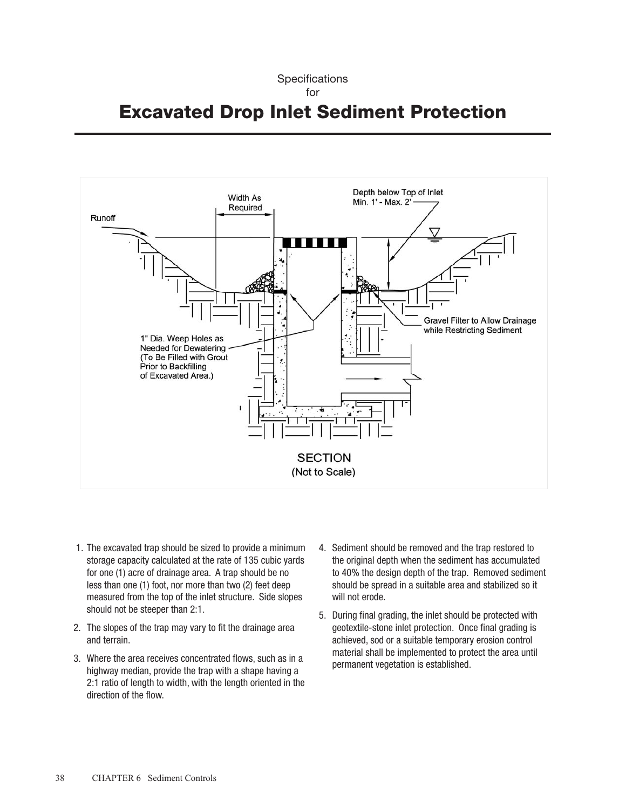### **Specifications** for Excavated Drop Inlet Sediment Protection



- 1. The excavated trap should be sized to provide a minimum storage capacity calculated at the rate of 135 cubic yards for one (1) acre of drainage area. A trap should be no less than one (1) foot, nor more than two (2) feet deep measured from the top of the inlet structure. Side slopes should not be steeper than 2:1.
- 2. The slopes of the trap may vary to fit the drainage area and terrain.
- 3. Where the area receives concentrated flows, such as in a highway median, provide the trap with a shape having a 2:1 ratio of length to width, with the length oriented in the direction of the flow.
- 4. Sediment should be removed and the trap restored to the original depth when the sediment has accumulated to 40% the design depth of the trap. Removed sediment should be spread in a suitable area and stabilized so it will not erode.
- 5. During final grading, the inlet should be protected with geotextile-stone inlet protection. Once final grading is achieved, sod or a suitable temporary erosion control material shall be implemented to protect the area until permanent vegetation is established.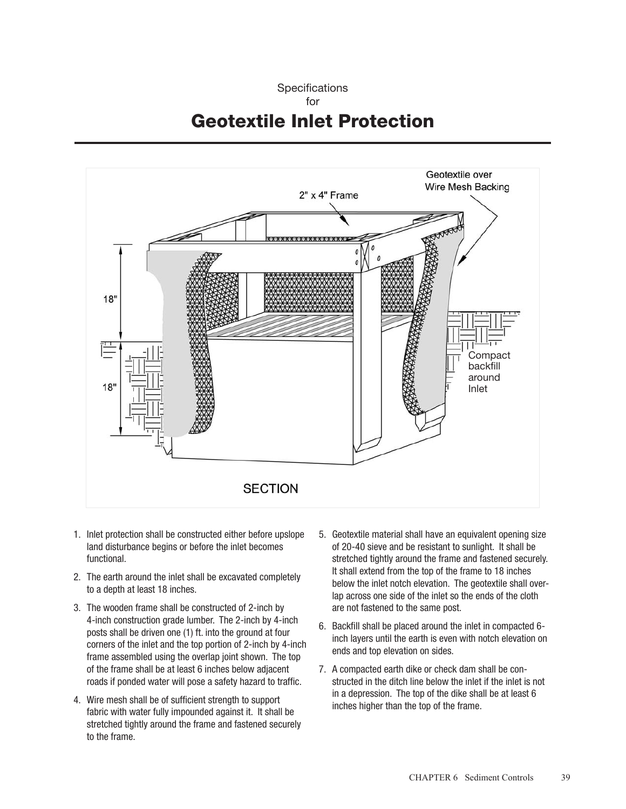### **Specifications** for Geotextile Inlet Protection



- 1. Inlet protection shall be constructed either before upslope land disturbance begins or before the inlet becomes functional.
- 2. The earth around the inlet shall be excavated completely to a depth at least 18 inches.
- 3. The wooden frame shall be constructed of 2-inch by 4-inch construction grade lumber. The 2-inch by 4-inch posts shall be driven one (1) ft. into the ground at four corners of the inlet and the top portion of 2-inch by 4-inch frame assembled using the overlap joint shown. The top of the frame shall be at least 6 inches below adjacent roads if ponded water will pose a safety hazard to traffic.
- 4. Wire mesh shall be of sufficient strength to support fabric with water fully impounded against it. It shall be stretched tightly around the frame and fastened securely to the frame.
- 5. Geotextile material shall have an equivalent opening size of 20-40 sieve and be resistant to sunlight. It shall be stretched tightly around the frame and fastened securely. It shall extend from the top of the frame to 18 inches below the inlet notch elevation. The geotextile shall overlap across one side of the inlet so the ends of the cloth are not fastened to the same post.
- 6. Backfill shall be placed around the inlet in compacted 6 inch layers until the earth is even with notch elevation on ends and top elevation on sides.
- 7. A compacted earth dike or check dam shall be constructed in the ditch line below the inlet if the inlet is not in a depression. The top of the dike shall be at least 6 inches higher than the top of the frame.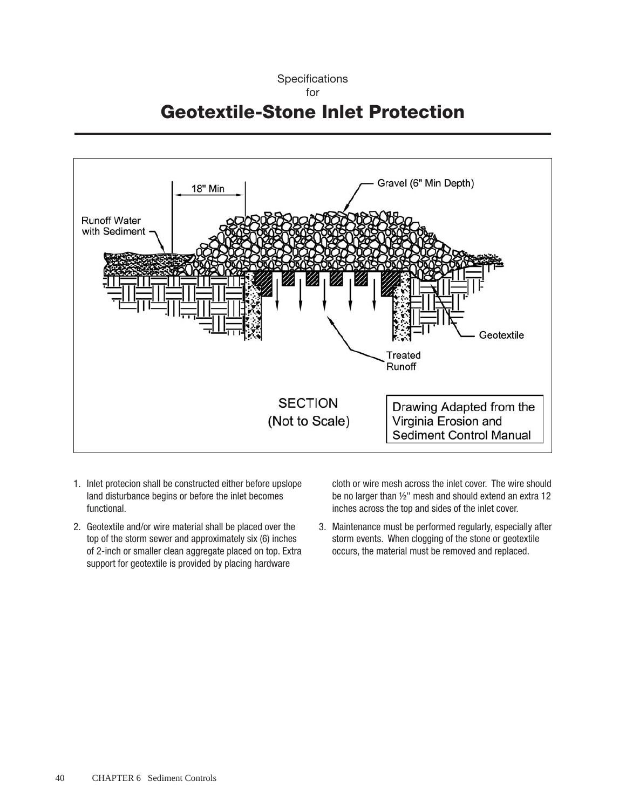**Specifications** for Geotextile-Stone Inlet Protection



- 1. Inlet protecion shall be constructed either before upslope land disturbance begins or before the inlet becomes functional.
- 2. Geotextile and/or wire material shall be placed over the top of the storm sewer and approximately six (6) inches of 2-inch or smaller clean aggregate placed on top. Extra support for geotextile is provided by placing hardware

cloth or wire mesh across the inlet cover. The wire should be no larger than ½" mesh and should extend an extra 12 inches across the top and sides of the inlet cover.

3. Maintenance must be performed regularly, especially after storm events. When clogging of the stone or geotextile occurs, the material must be removed and replaced.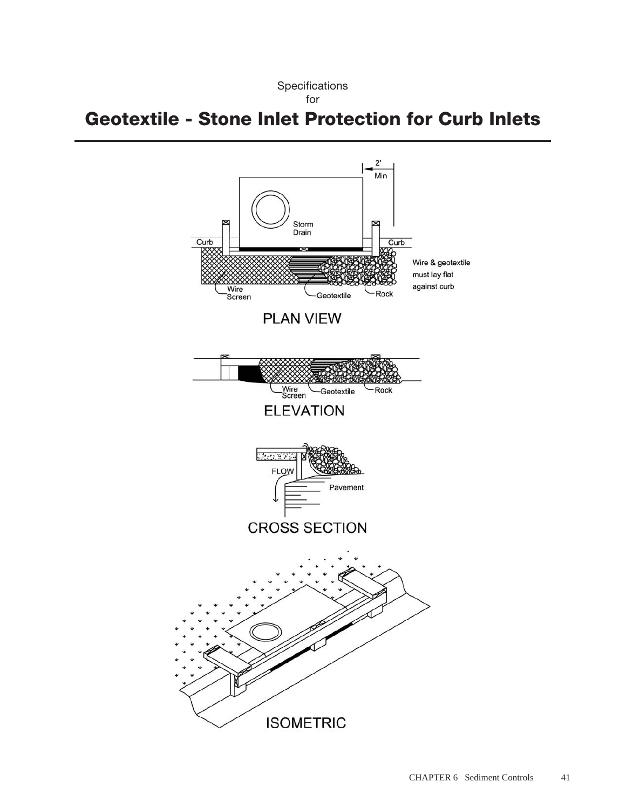

# Geotextile - Stone Inlet Protection for Curb Inlets

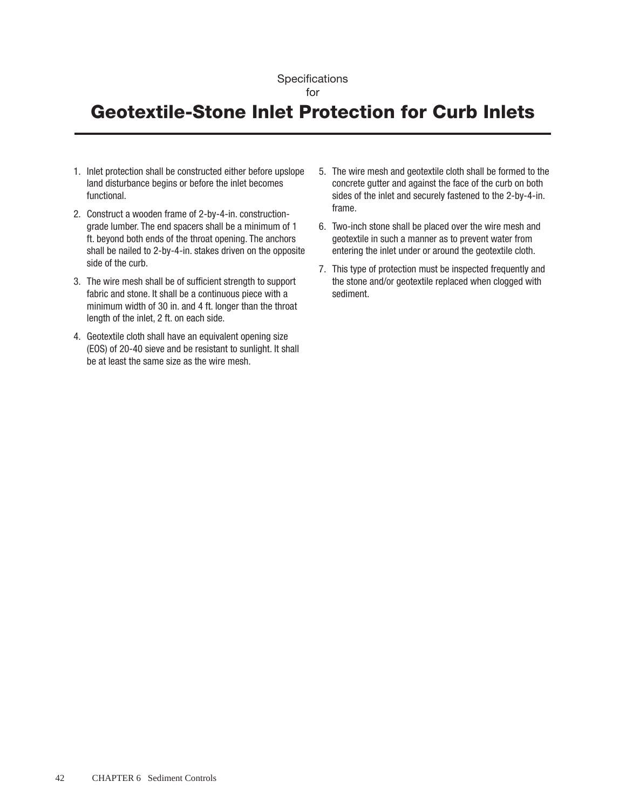# Geotextile-Stone Inlet Protection for Curb Inlets

- 1. Inlet protection shall be constructed either before upslope land disturbance begins or before the inlet becomes functional.
- 2. Construct a wooden frame of 2-by-4-in. constructiongrade lumber. The end spacers shall be a minimum of 1 ft. beyond both ends of the throat opening. The anchors shall be nailed to 2-by-4-in. stakes driven on the opposite side of the curb.
- 3. The wire mesh shall be of sufficient strength to support fabric and stone. It shall be a continuous piece with a minimum width of 30 in. and 4 ft. longer than the throat length of the inlet, 2 ft. on each side.
- 4. Geotextile cloth shall have an equivalent opening size (EOS) of 20-40 sieve and be resistant to sunlight. It shall be at least the same size as the wire mesh.
- 5. The wire mesh and geotextile cloth shall be formed to the concrete gutter and against the face of the curb on both sides of the inlet and securely fastened to the 2-by-4-in. frame.
- 6. Two-inch stone shall be placed over the wire mesh and geotextile in such a manner as to prevent water from entering the inlet under or around the geotextile cloth.
- 7. This type of protection must be inspected frequently and the stone and/or geotextile replaced when clogged with sediment.